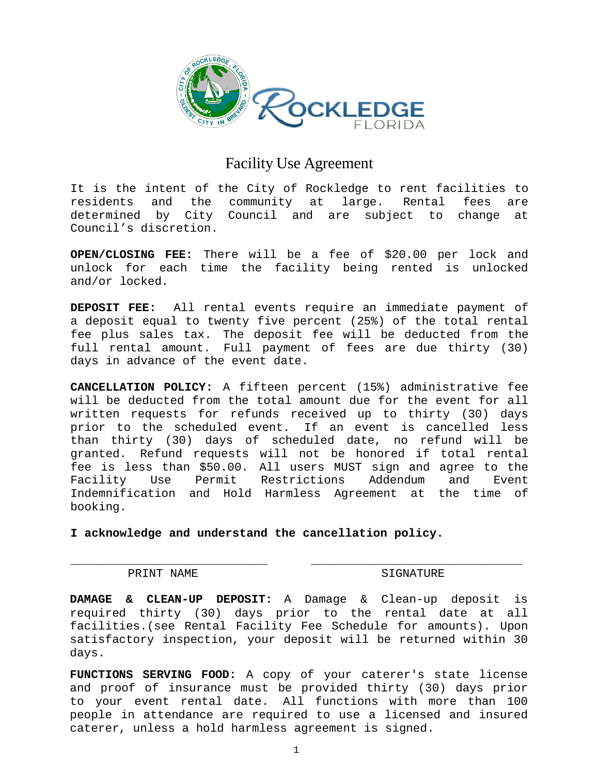

# Facility Use Agreement

It is the intent of the City of Rockledge to rent facilities to residents and the community at large. Rental fees are determined by City Council and are subject to change at Council's discretion.

**OPEN/CLOSING FEE:** There will be a fee of \$20.00 per lock and unlock for each time the facility being rented is unlocked and/or locked.

**DEPOSIT FEE:** All rental events require an immediate payment of a deposit equal to twenty five percent (25%) of the total rental fee plus sales tax. The deposit fee will be deducted from the full rental amount. Full payment of fees are due thirty (30) days in advance of the event date.

**CANCELLATION POLICY:** A fifteen percent (15%) administrative fee will be deducted from the total amount due for the event for all written requests for refunds received up to thirty (30) days prior to the scheduled event. If an event is cancelled less than thirty (30) days of scheduled date, no refund will be granted. Refund requests will not be honored if total rental fee is less than \$50.00. All users MUST sign and agree to the<br>Facility Use Permit Restrictions Addendum and Event Restrictions Addendum and Event Indemnification and Hold Harmless Agreement at the time of booking.

**I acknowledge and understand the cancellation policy.** 

# PRINT NAME SIGNATURE

**DAMAGE & CLEAN-UP DEPOSIT:** A Damage & Clean-up deposit is required thirty (30) days prior to the rental date at all facilities.(see Rental Facility Fee Schedule for amounts). Upon satisfactory inspection, your deposit will be returned within 30 days.

 $\overline{\phantom{a}}$  , and the contract of the contract of  $\overline{\phantom{a}}$  , and  $\overline{\phantom{a}}$  , and  $\overline{\phantom{a}}$  , and  $\overline{\phantom{a}}$  , and  $\overline{\phantom{a}}$  , and  $\overline{\phantom{a}}$  , and  $\overline{\phantom{a}}$  , and  $\overline{\phantom{a}}$  , and  $\overline{\phantom{a}}$  , and  $\overline{\phantom{a$ 

**FUNCTIONS SERVING FOOD:** A copy of your caterer's state license and proof of insurance must be provided thirty (30) days prior to your event rental date. All functions with more than 100 people in attendance are required to use a licensed and insured caterer, unless a hold harmless agreement is signed.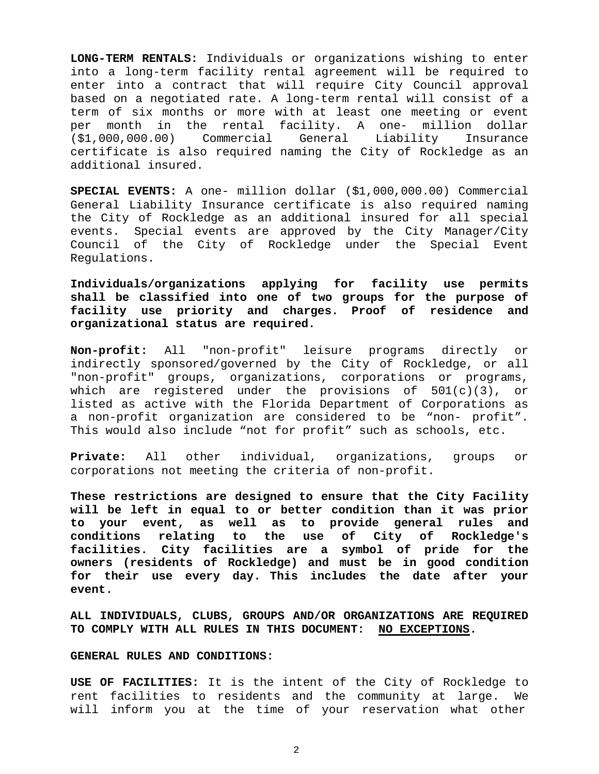**LONG-TERM RENTALS:** Individuals or organizations wishing to enter into a long-term facility rental agreement will be required to enter into a contract that will require City Council approval based on a negotiated rate. A long-term rental will consist of a term of six months or more with at least one meeting or event per month in the rental facility. A one- million dollar<br>(\$1,000,000.00) Commercial General Liability Insurance (\$1,000,000.00) Commercial General Liability Insurance certificate is also required naming the City of Rockledge as an additional insured.

**SPECIAL EVENTS:** A one- million dollar (\$1,000,000.00) Commercial General Liability Insurance certificate is also required naming the City of Rockledge as an additional insured for all special events. Special events are approved by the City Manager/City Council of the City of Rockledge under the Special Event Regulations.

**Individuals/organizations applying for facility use permits shall be classified into one of two groups for the purpose of facility use priority and charges. Proof of residence and organizational status are required.**

**Non-profit:** All "non-profit" leisure programs directly or indirectly sponsored/governed by the City of Rockledge, or all "non-profit" groups, organizations, corporations or programs, which are registered under the provisions of 501(c)(3), or listed as active with the Florida Department of Corporations as a non-profit organization are considered to be "non- profit". This would also include "not for profit" such as schools, etc.

**Private:** All other individual, organizations, groups or corporations not meeting the criteria of non-profit.

**These restrictions are designed to ensure that the City Facility will be left in equal to or better condition than it was prior to your event, as well as to provide general rules and conditions relating to the use of City of Rockledge's facilities. City facilities are a symbol of pride for the owners (residents of Rockledge) and must be in good condition for their use every day. This includes the date after your event.**

**ALL INDIVIDUALS, CLUBS, GROUPS AND/OR ORGANIZATIONS ARE REQUIRED TO COMPLY WITH ALL RULES IN THIS DOCUMENT: NO EXCEPTIONS.**

## **GENERAL RULES AND CONDITIONS:**

**USE OF FACILITIES:** It is the intent of the City of Rockledge to rent facilities to residents and the community at large. We will inform you at the time of your reservation what other

2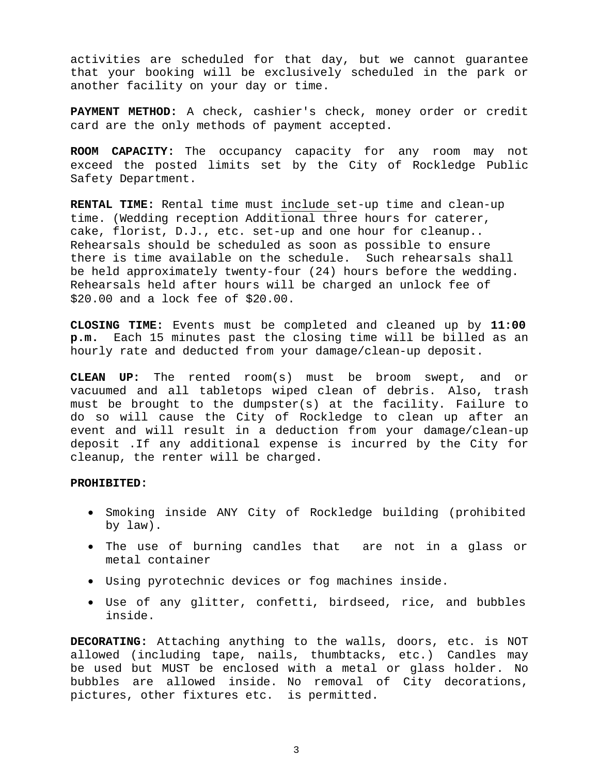activities are scheduled for that day, but we cannot guarantee that your booking will be exclusively scheduled in the park or another facility on your day or time.

**PAYMENT METHOD:** A check, cashier's check, money order or credit card are the only methods of payment accepted.

**ROOM CAPACITY:** The occupancy capacity for any room may not exceed the posted limits set by the City of Rockledge Public Safety Department.

**RENTAL TIME:** Rental time must include set-up time and clean-up time. (Wedding reception Additional three hours for caterer, cake, florist, D.J., etc. set-up and one hour for cleanup.. Rehearsals should be scheduled as soon as possible to ensure<br>there is time available on the schedule. Such rehearsals shall there is time available on the schedule. be held approximately twenty-four (24) hours before the wedding. Rehearsals held after hours will be charged an unlock fee of \$20.00 and a lock fee of \$20.00.

**CLOSING TIME:** Events must be completed and cleaned up by **11:00 p.m.** Each 15 minutes past the closing time will be billed as an hourly rate and deducted from your damage/clean-up deposit.

**CLEAN UP:** The rented room(s) must be broom swept, and or vacuumed and all tabletops wiped clean of debris. Also, trash must be brought to the dumpster(s) at the facility. Failure to do so will cause the City of Rockledge to clean up after an event and will result in a deduction from your damage/clean-up deposit .If any additional expense is incurred by the City for cleanup, the renter will be charged.

# **PROHIBITED:**

- Smoking inside ANY City of Rockledge building (prohibited by law).
- The use of burning candles that are not in a glass or metal container
- Using pyrotechnic devices or fog machines inside.
- Use of any glitter, confetti, birdseed, rice, and bubbles inside.

**DECORATING:** Attaching anything to the walls, doors, etc. is NOT allowed (including tape, nails, thumbtacks, etc.) Candles may be used but MUST be enclosed with a metal or glass holder. No bubbles are allowed inside. No removal of City decorations, pictures, other fixtures etc. is permitted.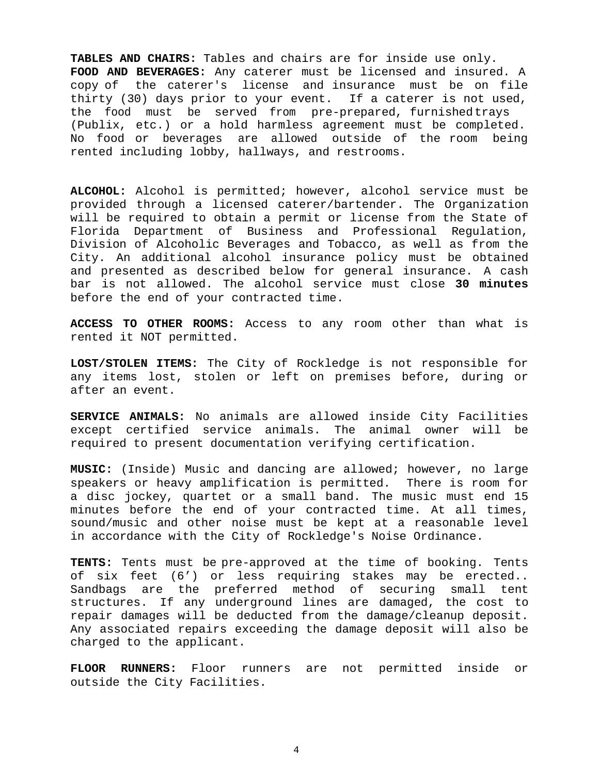**TABLES AND CHAIRS:** Tables and chairs are for inside use only. **FOOD AND BEVERAGES:** Any caterer must be licensed and insured. A copy of the caterer's license and insurance must be on file thirty (30) days prior to your event. If a caterer is not used, the food must be served from pre-prepared, furnished trays (Publix, etc.) or a hold harmless agreement must be completed. No food or beverages are allowed outside of the room being rented including lobby, hallways, and restrooms.

**ALCOHOL:** Alcohol is permitted; however, alcohol service must be provided through a licensed caterer/bartender. The Organization will be required to obtain a permit or license from the State of Florida Department of Business and Professional Regulation, Division of Alcoholic Beverages and Tobacco, as well as from the City. An additional alcohol insurance policy must be obtained and presented as described below for general insurance. A cash bar is not allowed. The alcohol service must close **30 minutes**  before the end of your contracted time.

**ACCESS TO OTHER ROOMS:** Access to any room other than what is rented it NOT permitted.

**LOST/STOLEN ITEMS:** The City of Rockledge is not responsible for any items lost, stolen or left on premises before, during or after an event.

**SERVICE ANIMALS:** No animals are allowed inside City Facilities except certified service animals. The animal owner will be required to present documentation verifying certification.

**MUSIC:** (Inside) Music and dancing are allowed; however, no large speakers or heavy amplification is permitted. There is room for a disc jockey, quartet or a small band. The music must end 15 minutes before the end of your contracted time. At all times, sound/music and other noise must be kept at a reasonable level in accordance with the City of Rockledge's Noise Ordinance.

**TENTS:** Tents must be pre-approved at the time of booking. Tents of six feet (6') or less requiring stakes may be erected.. Sandbags are the preferred method of securing small tent structures. If any underground lines are damaged, the cost to repair damages will be deducted from the damage/cleanup deposit. Any associated repairs exceeding the damage deposit will also be charged to the applicant.

**FLOOR RUNNERS:** Floor runners are not permitted inside or outside the City Facilities.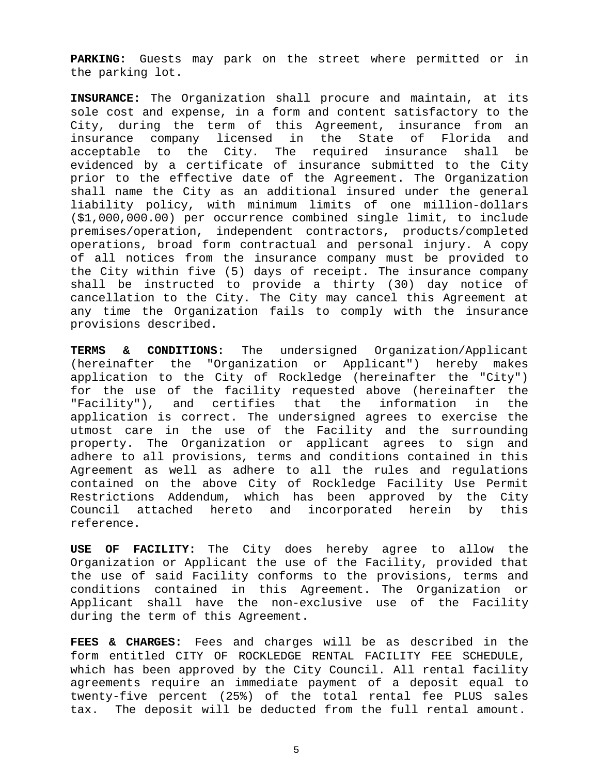**PARKING:** Guests may park on the street where permitted or in the parking lot.

**INSURANCE:** The Organization shall procure and maintain, at its sole cost and expense, in a form and content satisfactory to the City, during the term of this Agreement, insurance from an<br>insurance company licensed in the State of Florida and State of Florida and<br>red insurance shall be acceptable to the City. The required insurance shall evidenced by a certificate of insurance submitted to the City prior to the effective date of the Agreement. The Organization shall name the City as an additional insured under the general liability policy, with minimum limits of one million-dollars (\$1,000,000.00) per occurrence combined single limit, to include premises/operation, independent contractors, products/completed operations, broad form contractual and personal injury. A copy of all notices from the insurance company must be provided to the City within five (5) days of receipt. The insurance company shall be instructed to provide a thirty (30) day notice of cancellation to the City. The City may cancel this Agreement at any time the Organization fails to comply with the insurance provisions described.

**TERMS & CONDITIONS:** The undersigned Organization/Applicant (hereinafter the "Organization or Applicant") hereby makes application to the City of Rockledge (hereinafter the "City") for the use of the facility requested above (hereinafter the<br>"Facility"), and certifies that the information in the "Facility"), and certifies that the information in application is correct. The undersigned agrees to exercise the utmost care in the use of the Facility and the surrounding property. The Organization or applicant agrees to sign and adhere to all provisions, terms and conditions contained in this Agreement as well as adhere to all the rules and regulations contained on the above City of Rockledge Facility Use Permit Restrictions Addendum, which has been approved by the City<br>Council attached hereto and incorporated herein by this attached hereto and incorporated herein by this reference.

**USE OF FACILITY:** The City does hereby agree to allow the Organization or Applicant the use of the Facility, provided that the use of said Facility conforms to the provisions, terms and conditions contained in this Agreement. The Organization or Applicant shall have the non-exclusive use of the Facility during the term of this Agreement.

**FEES & CHARGES:** Fees and charges will be as described in the form entitled CITY OF ROCKLEDGE RENTAL FACILITY FEE SCHEDULE, which has been approved by the City Council. All rental facility agreements require an immediate payment of a deposit equal to twenty-five percent (25%) of the total rental fee PLUS sales tax. The deposit will be deducted from the full rental amount.

5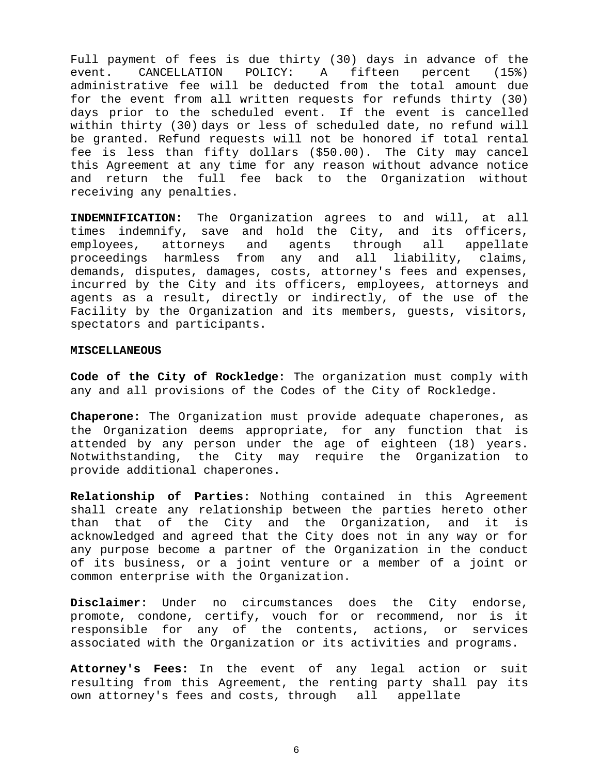Full payment of fees is due thirty (30) days in advance of the<br>event. CANCELLATION POLICY: A fifteen percent (15%) event. CANCELLATION POLICY: A fifteen percent (15%) administrative fee will be deducted from the total amount due for the event from all written requests for refunds thirty (30) days prior to the scheduled event. If the event is cancelled within thirty (30) days or less of scheduled date, no refund will be granted. Refund requests will not be honored if total rental fee is less than fifty dollars (\$50.00). The City may cancel this Agreement at any time for any reason without advance notice and return the full fee back to the Organization without receiving any penalties.

**INDEMNIFICATION:** The Organization agrees to and will, at all times indemnify, save and hold the City, and its officers,<br>employees, attorneys and agents through all appellate employees, attorneys and agents through all appellate<br>proceedings harmless from any and all liability, claims, proceedings harmless from any and all demands, disputes, damages, costs, attorney's fees and expenses, incurred by the City and its officers, employees, attorneys and agents as a result, directly or indirectly, of the use of the Facility by the Organization and its members, guests, visitors, spectators and participants.

#### **MISCELLANEOUS**

**Code of the City of Rockledge:** The organization must comply with any and all provisions of the Codes of the City of Rockledge.

**Chaperone:** The Organization must provide adequate chaperones, as the Organization deems appropriate, for any function that is attended by any person under the age of eighteen (18) years. Notwithstanding, the City may require the Organization to provide additional chaperones.

**Relationship of Parties:** Nothing contained in this Agreement shall create any relationship between the parties hereto other<br>than that of the City and the Organization, and it is than that of the City and the Organization, and it is acknowledged and agreed that the City does not in any way or for any purpose become a partner of the Organization in the conduct of its business, or a joint venture or a member of a joint or common enterprise with the Organization.

**Disclaimer:** Under no circumstances does the City endorse, promote, condone, certify, vouch for or recommend, nor is it responsible for any of the contents, actions, or services associated with the Organization or its activities and programs.

**Attorney's Fees:** In the event of any legal action or suit resulting from this Agreement, the renting party shall pay its own attorney's fees and costs, through all appellate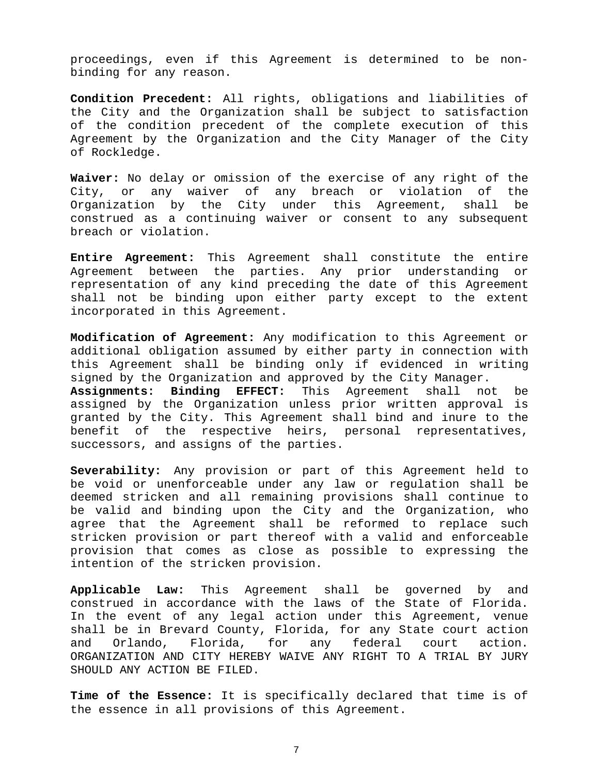proceedings, even if this Agreement is determined to be nonbinding for any reason.

**Condition Precedent:** All rights, obligations and liabilities of the City and the Organization shall be subject to satisfaction of the condition precedent of the complete execution of this Agreement by the Organization and the City Manager of the City of Rockledge.

**Waiver:** No delay or omission of the exercise of any right of the City, or any waiver of any breach or violation of the Organization by the City under this Agreement, shall be construed as a continuing waiver or consent to any subsequent breach or violation.

**Entire Agreement:** This Agreement shall constitute the entire Agreement between the parties. Any prior understanding or representation of any kind preceding the date of this Agreement shall not be binding upon either party except to the extent incorporated in this Agreement.

**Modification of Agreement:** Any modification to this Agreement or additional obligation assumed by either party in connection with this Agreement shall be binding only if evidenced in writing signed by the Organization and approved by the City Manager.<br>**Assignments: Binding EFFECT:** This Agreement shall not **Assignments: Binding EFFECT:** This Agreement shall not be assigned by the Organization unless prior written approval is granted by the City. This Agreement shall bind and inure to the benefit of the respective heirs, personal representatives, successors, and assigns of the parties.

**Severability:** Any provision or part of this Agreement held to be void or unenforceable under any law or regulation shall be deemed stricken and all remaining provisions shall continue to be valid and binding upon the City and the Organization, who agree that the Agreement shall be reformed to replace such stricken provision or part thereof with a valid and enforceable provision that comes as close as possible to expressing the intention of the stricken provision.

**Applicable Law:** This Agreement shall be governed by and construed in accordance with the laws of the State of Florida. In the event of any legal action under this Agreement, venue shall be in Brevard County, Florida, for any State court action and Orlando, Florida, for any federal court action. ORGANIZATION AND CITY HEREBY WAIVE ANY RIGHT TO A TRIAL BY JURY SHOULD ANY ACTION BE FILED.

**Time of the Essence:** It is specifically declared that time is of the essence in all provisions of this Agreement.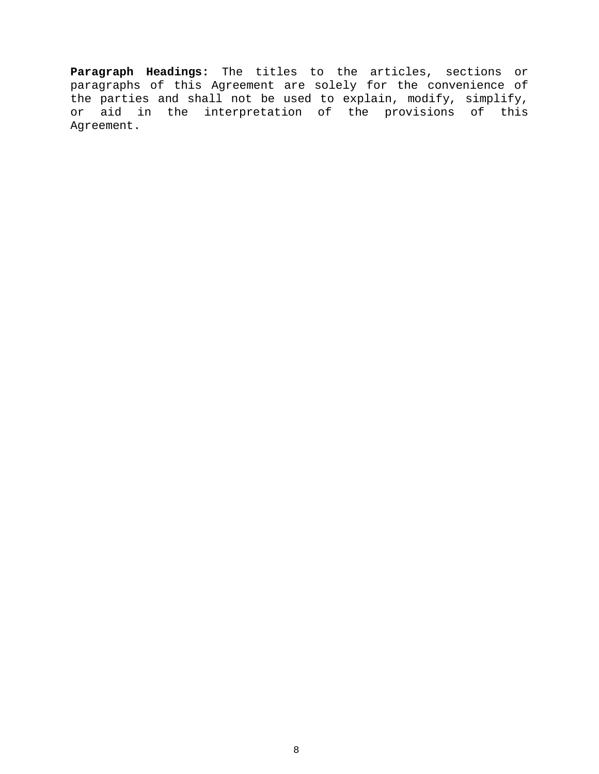**Paragraph Headings:** The titles to the articles, sections or paragraphs of this Agreement are solely for the convenience of the parties and shall not be used to explain, modify, simplify, or aid in the interpretation of the provisions of this Agreement.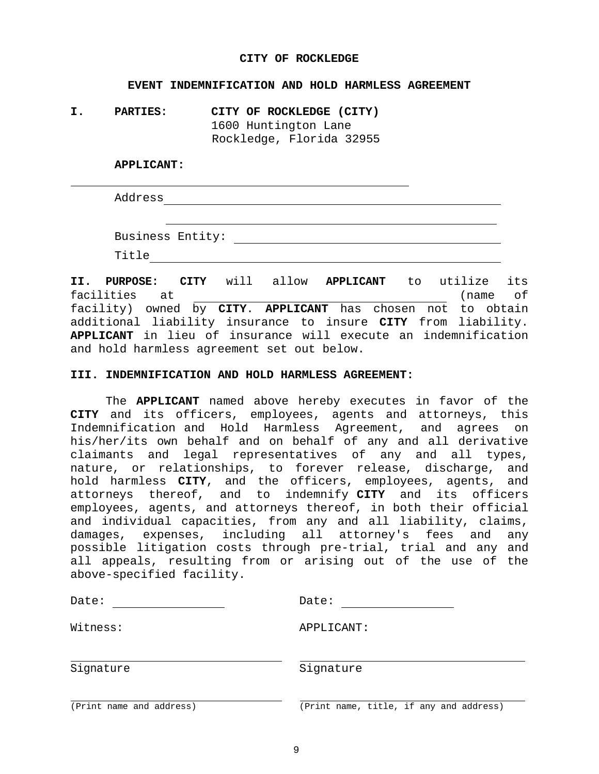### **CITY OF ROCKLEDGE**

### **EVENT INDEMNIFICATION AND HOLD HARMLESS AGREEMENT**

**I. PARTIES: CITY OF ROCKLEDGE (CITY)** 1600 Huntington Lane Rockledge, Florida 32955

#### **APPLICANT:**

Address

Business Entity:

Title

**II. PURPOSE: CITY** will allow **APPLICANT** to utilize its facilities at (name of facility) owned by **CITY**. **APPLICANT** has chosen not to obtain additional liability insurance to insure **CITY** from liability. **APPLICANT** in lieu of insurance will execute an indemnification and hold harmless agreement set out below.

#### **III. INDEMNIFICATION AND HOLD HARMLESS AGREEMENT:**

The **APPLICANT** named above hereby executes in favor of the **CITY** and its officers, employees, agents and attorneys, this Indemnification and Hold Harmless Agreement, and agrees on his/her/its own behalf and on behalf of any and all derivative claimants and legal representatives of any and all types, nature, or relationships, to forever release, discharge, and hold harmless **CITY**, and the officers, employees, agents, and attorneys thereof, and to indemnify **CITY** and its officers employees, agents, and attorneys thereof, in both their official and individual capacities, from any and all liability, claims, damages, expenses, including all attorney's fees and any possible litigation costs through pre-trial, trial and any and all appeals, resulting from or arising out of the use of the above-specified facility.

| Date:                    | Date:                                   |
|--------------------------|-----------------------------------------|
| Witness:                 | APPLICANT:                              |
| Signature                | Signature                               |
| (Print name and address) | (Print name, title, if any and address) |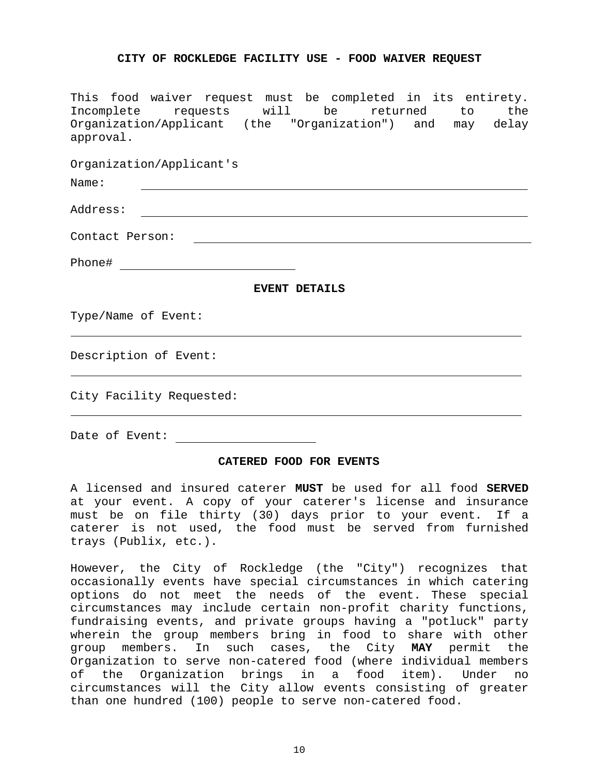## **CITY OF ROCKLEDGE FACILITY USE - FOOD WAIVER REQUEST**

This food waiver request must be completed in its entirety. Incomplete requests will be returned to the Organization/Applicant (the "Organization") and may delay approval.

Organization/Applicant's

| Name:                    |                      |
|--------------------------|----------------------|
| Address:                 |                      |
| Contact Person:          |                      |
| Phone#                   |                      |
|                          | <b>EVENT DETAILS</b> |
| Type/Name of Event:      |                      |
| Description of Event:    |                      |
| City Facility Requested: |                      |
| Date of Event:           |                      |

# **CATERED FOOD FOR EVENTS**

A licensed and insured caterer **MUST** be used for all food **SERVED**  at your event. A copy of your caterer's license and insurance must be on file thirty (30) days prior to your event. If a caterer is not used, the food must be served from furnished trays (Publix, etc.).

However, the City of Rockledge (the "City") recognizes that occasionally events have special circumstances in which catering options do not meet the needs of the event. These special circumstances may include certain non-profit charity functions, fundraising events, and private groups having a "potluck" party wherein the group members bring in food to share with other group members. In such cases, the City **MAY** permit the Organization to serve non-catered food (where individual members of the Organization brings in a food item). Under no circumstances will the City allow events consisting of greater than one hundred (100) people to serve non-catered food.